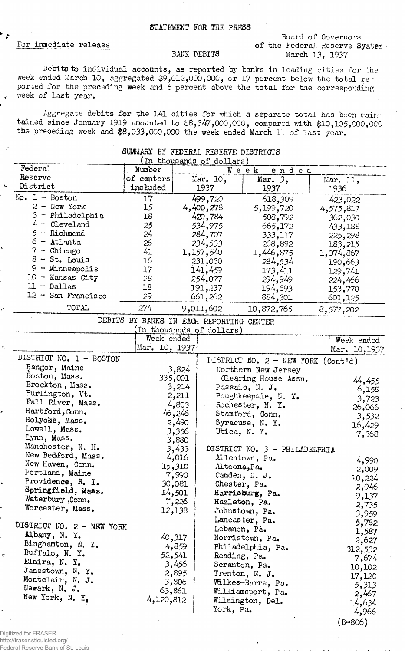#### STATEMENT FOR THE PRESS

### For immediate release

 $\tilde{.}$ 

#### Board of Governors of the Federal Reserve System. March 13, 1937

## BANK DEBITS

Debits to individual accounts, as reported by banks in leading cities for the week ended March 10, aggregated \$9,012,000,000, or 17 percent below the total reported for the preceding week and 5 percent above the total for the corresponding . week of last year.

Aggregate debits for the  $141$  cities for which a separate total has been maintained since January 1919 amounted to \$8,347,000,000, compared with \$10,105,000,000 the preceding week and \$8,033,000,000 the week ended March 11 of last year.

| COMMERCE DT LEADLANT VERENT DIPITUIOID |                                          |                                   |                          |                                      |                  |  |
|----------------------------------------|------------------------------------------|-----------------------------------|--------------------------|--------------------------------------|------------------|--|
| Federal                                | Number                                   | (In thousands of dollars)<br>Week |                          |                                      |                  |  |
| Reserve                                | of centers                               |                                   | Mar. 10,                 | ended<br>Mar. 3,                     |                  |  |
| District                               | included                                 |                                   | 1937                     | 1937                                 | Mar. 11,<br>1936 |  |
| $No. 1 - Boston$                       | 17                                       |                                   | 499,720                  | 618,309                              | 423,022          |  |
| $2 -$ New York                         | 15                                       |                                   | 4,400,278                | 5,199,720                            | 4,575,817        |  |
| 3<br>- Philadelphia                    | 18                                       |                                   | 420,784                  | 508,792                              | 362,030          |  |
| 4 -<br>Cleveland                       | 25                                       |                                   | 534,975                  | 665,172                              | 433,188          |  |
| $5 -$ Richmond                         | 24                                       |                                   | 284,707                  | 333,117                              |                  |  |
| $6 -$ Atlanta                          | 26                                       |                                   | 234,533                  | 268,892                              | 225,298          |  |
| $7$ - Chicago                          | 41                                       |                                   | 1,157,540                | 1,446,875                            | 183,215          |  |
| $8 - St.$ Louis                        | 16                                       |                                   | 231,030                  |                                      | 1,074,867        |  |
| $9 -$ Minneapolis                      | 17                                       |                                   | 141,459                  | 284,534                              | 190,663          |  |
| 10 - Kansas City                       | 28                                       |                                   |                          | 173,411                              | 129,741          |  |
| $11 -$ Dallas                          | 18                                       |                                   | 254,077                  | 294,949                              | 224,466          |  |
| 12 - San Francisco                     | 29                                       |                                   | 191,237                  | 194,693                              | 153,770          |  |
| TOTAL                                  | 274                                      |                                   | 661,262<br>9,011,602     | 884,301                              | 601,125          |  |
|                                        |                                          |                                   |                          | 10,872,765                           | 8,577,202        |  |
|                                        | DEBITS BY BANKS IN EACH REPORTING CENTER |                                   |                          |                                      |                  |  |
|                                        |                                          |                                   | In thousands of dollars) |                                      |                  |  |
|                                        | Week ended                               |                                   |                          |                                      | Week ended       |  |
|                                        | Mar. 10, 1937                            |                                   |                          |                                      | Mar. 10,1937     |  |
| DISTRICT NO. 1 - BOSTON                |                                          |                                   |                          | DISTRICT NO. $2 - NEW YORK (Cont'd)$ |                  |  |
| Bangor, Maine                          |                                          | 3,824                             |                          | Northern New Jersey                  |                  |  |
| Boston, Mass.                          |                                          | 335,001                           |                          | Clearing House Assn.                 | 44,455           |  |
| Brockton, Mass.                        |                                          | 3,214                             |                          | Passaic, N. J.                       | 6,158            |  |
| Burlington, Vt.                        |                                          | 2,211                             |                          | Poughkeepsie, N. Y.                  | 3,723            |  |
| Fall River, Mass.                      |                                          | 4,803                             |                          | Rochester, N. Y.                     | 26,066           |  |
| Hartford, Conn.                        |                                          | 46,246                            |                          | Stamford, Conn.                      | 3,532            |  |
| Holyoke, Mass.                         |                                          | 2,490                             |                          | Syracuse, N. Y.                      | 16,429           |  |
| Lowell, Mass.                          |                                          | 3,356                             | Utica, N. Y.             |                                      | 7,368            |  |
| Lynn, Mass.                            |                                          | 3,880                             |                          |                                      |                  |  |
| Manchester, N. H.                      |                                          | 3,433                             |                          | DISTRICT NO. 3 - PHILADELPHIA        |                  |  |
| New Bedford, Mass.                     |                                          | 4,016                             |                          | Allentown, Pa.                       | 4,990            |  |
| New Haven, Conn.                       |                                          | 15,310                            | Altoona, Pa.             |                                      | 2,009            |  |
| Portland, Maine                        |                                          | 7,990                             |                          | Camden, N. J.                        | 10,224           |  |
| Providence, R. I.                      |                                          | 30,081                            | Chester, Pa.             |                                      | 2,946            |  |
| Springfield, Mass.                     |                                          | 14,501                            |                          | Harrisburg, Pa.                      | 9,137            |  |
| Waterbury, Conn.                       |                                          | 7,226                             |                          | Hazleton, Pa.                        | 2,735            |  |
| Worcester, Mass.                       |                                          | 12,138                            |                          | Johnstown, Pa.                       | 3,959            |  |
|                                        |                                          |                                   |                          | Lancaster, Pa.                       |                  |  |
| DISTRICT NO. 2 - NEW YORK              |                                          |                                   | Lebanon, Pa.             |                                      | 5,762            |  |
| Albany, N. Y.                          |                                          | 40,317                            |                          | Norristown, Pa.                      | 1,587            |  |
| Binghamton, N. Y.                      |                                          | 4,859                             |                          | Philadelphia, Pa.                    | 2,627            |  |
| Buffalo, N.Y.                          |                                          | 52,541                            | Reading, Pa.             |                                      | 312,532          |  |
| Elmira, N. Y.                          |                                          | 3,456                             | Scranton, Pa.            |                                      | 7,674            |  |
| Jamestown, N.Y.                        |                                          | 2,895                             |                          | Trenton, N. J.                       | 10,102           |  |
| Montclair, N. J.                       |                                          | 3,806                             |                          | Wilkes-Barre, Pa.                    | 17,120           |  |
| Newark, N. J.                          | 63,861                                   |                                   |                          | Williamsport, Pa.                    | 5,313            |  |
| New York, N. Y,                        | 4,120,812                                |                                   |                          | Wilmington, Del.                     | 2,467            |  |
|                                        |                                          |                                   | York, Pa.                |                                      | 14,634           |  |
|                                        |                                          |                                   |                          |                                      | 4,966            |  |
|                                        |                                          |                                   |                          |                                      | $(B - 806)$      |  |

# SUMMARY BY FEDERAL RESERVE DISTRICTS

Digitized for FRASER http://fraser.stlouisfed.org/

Federal Reserve Bank of St. Louis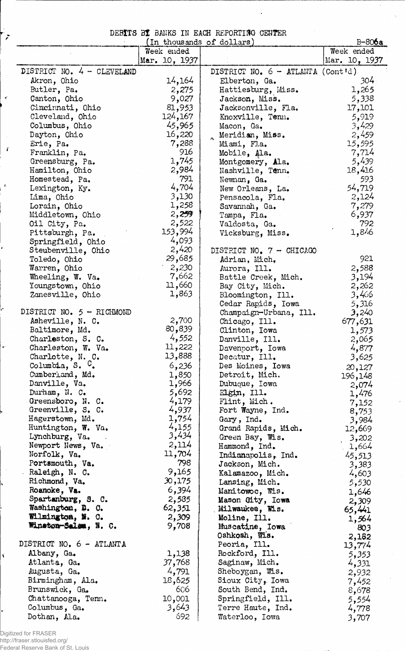## DEBITS BI BANKS IN EACH REPORTING CENTER

|                             | (In thousands of dollars) |                                     | $B - 806a$    |
|-----------------------------|---------------------------|-------------------------------------|---------------|
|                             | Week ended                |                                     | Week ended    |
|                             | Mar. 10, 1937             |                                     | Mar. 10, 1937 |
| DISTRICT NO. 4 - CLEVELAND  |                           | DISTRICT NO. $6 -$ ATLANTA (Cont'd) |               |
| Akron, Ohio                 | 14,164                    | Elberton, Ga.                       | $304 -$       |
| Butler, Pa.                 | 2,275                     | Hattiesburg, Miss.                  | 1,265         |
| Canton, Ohio                | 9,027                     |                                     | 5,338         |
|                             | 81,953                    | Jackson, Miss.                      |               |
| Cincinnati, Ohio            |                           | Jacksonville, Fla.                  | 17,101        |
| Cleveland, Ohio             | 124,167                   | Knoxville, Tenn.                    | 5,919         |
| Columbus, Ohio              | 45,965                    | Macon, Ga.                          | 3,429         |
| Dayton, Ohio                | 16,220                    | Meridian, Miss.                     | 2,459         |
| Erie, Pa.                   | 7,288                     | Miami, Fla.                         | 15,595        |
| Franklin, Pa.               | 916                       | Mobile, Ala.                        | 7,714         |
| Greensburg, Pa.             | 1,745                     | Montgomery, Ala.                    | 5,439         |
| Hamilton, Ohio              | 2,984                     | Nashville, Tenn.                    | 18,416        |
| Homestead, Pa.              | 791                       | Newnan, Ga.                         | 593           |
| Lexington, Ky.              | 4,704                     | New Orleans, La.                    | 54,719        |
| Lima, Ohio                  | 3,130                     | Pensacola, Fla.                     | 2,124         |
| Lorain, Ohio                | 1,258                     | Savannah, Ga.                       | 7,279         |
| Middletown, Ohio            | 2,259                     | Tampa, Fla.                         | 6,937         |
| Oil City, Pa.               | 2,522                     | Valdosta, Ga.                       | 792           |
| Pittsburgh, Pa.             | 153,994                   | Vicksburg, Miss.                    | 1,846         |
| Springfield, Ohio           | 4,093                     |                                     |               |
| Steubenville, Ohio          | 2,420                     | DISTRICT NO. 7 - CHICAGO            |               |
| Toledo, Ohio                | 29,685                    | Adrian, Mich.                       | 921           |
| Warren, Ohio                | 2,230                     | Aurora, Ill.                        | 2,588         |
| Wheeling, W. Va.            | 7,662                     | Battle Creek, Mich.                 | 3,194         |
| Youngstown, Ohio            | 11,660                    | Bay City, Mich.                     | 2,262         |
| Zanesville, Ohio            | 1,863                     | Bloomington, Ill.                   | 3,466         |
|                             |                           | Cedar Rapids, Iowa                  | 5,316         |
| DISTRICT NO. $5 - RICHMOND$ |                           | Champaign-Urbana, Ill.              | 3,240         |
| Asheville, N. C.            | 2,700                     | Chicago, Ill.                       | 677,631       |
| Baltimore, Md.              | 80,839                    | Clinton, Iowa                       | 1,573         |
| Charleston, S. C.           | 4,552                     | Danville, Ill.                      |               |
| Charleston, W. Va.          | 11,222                    |                                     | 2,065         |
|                             | 13,888                    | Davenport, Iowa                     | 4,877         |
| Charlotte, N. C.            |                           | Decatur, Ill.                       | 3,625         |
| Columbia, S. $C$ .          | 6,236                     | Des Moines, Iowa                    | 20,127        |
| Cumberland, Md.             | 1,850                     | Detroit, Mich.                      | 196,148       |
| Danville, Va.               | 1,966                     | Dubuque, Iowa                       | 2,074         |
| Durham, N. C.               | 5,692                     | Elgin, Ill.                         | 1,476         |
| Greensboro, N. C.           | 4,179                     | Flint, Mich.                        | 7,152         |
| Greenville, S. C.           | 4,937                     | Fort Wayne, Ind.                    | 8,753         |
| Hagerstown, Md.             | 1,754                     | Gary, Ind.                          | 3,984         |
| Huntington, W. Va.          | 4,155                     | Grand Rapids, Mich.                 | 12,669        |
| Lynchburg, Va.              | 3,434                     | Green Bay, Wis.                     | 3,202         |
| Newport News, Va.           | 2,114                     | Hammond, Ind.                       | 1,664         |
| Norfolk, Va.                | 11,704                    | Indianapolis, Ind.                  | 45,513        |
| Portsmouth, Va.             | 798                       | Jackson, Mich.                      | 3,383         |
| Raleigh, N. C.              | 9,165                     | Kalamazoo, Mich.                    | 4,603         |
| Richmond, Va.               | 30,175                    | Lansing, Mich.                      | 5,530         |
| Roanoke, Va.                | 6,394                     | Manitowoc, Wis.                     | 1,646         |
| Spartanburg, S. C.          | 2,585                     | Mason City, Iowa                    | 2,309         |
| Washington, D. O.           | 62,351                    | Milwaukee, Wis.                     | 65,441        |
| Wilmington, N. O.           | 2,309                     | Moline, Ill.                        | 1,564         |
| Winston-Salem, N. C.        | 9,708                     | Muscatine, Iowa                     | 803           |
|                             |                           | Oshkosh, Wis.                       | 2,182         |
| DISTRICT NO. 6 - ATLANTA    |                           | Peoria, Ill.                        | 13,774        |
| Albany, Ga.                 | 1,138                     | Rockford, Ill.                      | 5,353         |
| Atlanta, Ga.                | 37,768                    | Saginaw, Mich.                      |               |
| Augusta, Ga.                | 4,791                     | Sheboygan, Wis.                     | 4,331         |
|                             |                           |                                     | 2,932         |
| Birmingham, Ala.            | 18,625                    | Sioux City, Iowa                    | 7,452         |
| Brunswick, Ga.              | 606                       | South Bend, Ind.                    | 8,678         |
| Chattanooga, Tenn.          | 10,001                    | Springfield, Ill.                   | 5,554         |
| Columbus, Ga.               | 3,643                     | Terre Haute, Ind.                   | 4,778         |
| Dothan, Ala.                | 692                       | Waterloo, Iowa                      | 3,707         |

Digitized for FRASER http://fraser.stlouisfed.org/ Federal Reserve Bank of St. Louis

 $\tilde{r}$ 

 $\langle$ 

 $\tilde{r}$ 

Ă.

Ļ.

 $\bar{\phantom{a}}$  .

٢